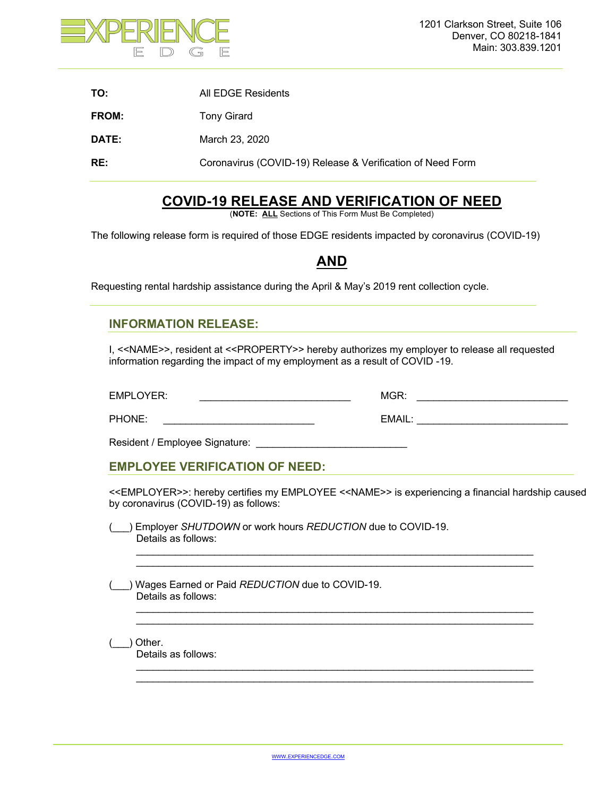

| TO:          | All EDGE Residents                                         |
|--------------|------------------------------------------------------------|
| <b>FROM:</b> | <b>Tony Girard</b>                                         |
| DATE:        | March 23, 2020                                             |
| RE:          | Coronavirus (COVID-19) Release & Verification of Need Form |

# **COVID-19 RELEASE AND VERIFICATION OF NEED**

(**NOTE: ALL** Sections of This Form Must Be Completed)

The following release form is required of those EDGE residents impacted by coronavirus (COVID-19)

## **AND**

Requesting rental hardship assistance during the April & May's 2019 rent collection cycle.

### **INFORMATION RELEASE:**

I, <<NAME>>, resident at <<PROPERTY>> hereby authorizes my employer to release all requested information regarding the impact of my employment as a result of COVID -19.

EMPLOYER: \_\_\_\_\_\_\_\_\_\_\_\_\_\_\_\_\_\_\_\_\_\_\_\_\_\_\_ MGR: \_\_\_\_\_\_\_\_\_\_\_\_\_\_\_\_\_\_\_\_\_\_\_\_\_\_\_

PHONE: \_\_\_\_\_\_\_\_\_\_\_\_\_\_\_\_\_\_\_\_\_\_\_\_\_\_\_ EMAIL: \_\_\_\_\_\_\_\_\_\_\_\_\_\_\_\_\_\_\_\_\_\_\_\_\_\_\_

Resident / Employee Signature:

### **EMPLOYEE VERIFICATION OF NEED:**

<<EMPLOYER>>: hereby certifies my EMPLOYEE <<NAME>> is experiencing a financial hardship caused by coronavirus (COVID-19) as follows:

 $\mathcal{L}_\text{max}$  , and the set of the set of the set of the set of the set of the set of the set of the set of the set of  $\mathcal{L}_\text{max}$  , and the set of the set of the set of the set of the set of the set of the set of the set of the set of

 $\mathcal{L}_\text{max}$  , and the contribution of the contribution of the contribution of the contribution of the contribution of the contribution of the contribution of the contribution of the contribution of the contribution of t \_\_\_\_\_\_\_\_\_\_\_\_\_\_\_\_\_\_\_\_\_\_\_\_\_\_\_\_\_\_\_\_\_\_\_\_\_\_\_\_\_\_\_\_\_\_\_\_\_\_\_\_\_\_\_\_\_\_\_\_\_\_\_\_\_\_\_\_\_\_\_

\_\_\_\_\_\_\_\_\_\_\_\_\_\_\_\_\_\_\_\_\_\_\_\_\_\_\_\_\_\_\_\_\_\_\_\_\_\_\_\_\_\_\_\_\_\_\_\_\_\_\_\_\_\_\_\_\_\_\_\_\_\_\_\_\_\_\_\_\_\_\_ \_\_\_\_\_\_\_\_\_\_\_\_\_\_\_\_\_\_\_\_\_\_\_\_\_\_\_\_\_\_\_\_\_\_\_\_\_\_\_\_\_\_\_\_\_\_\_\_\_\_\_\_\_\_\_\_\_\_\_\_\_\_\_\_\_\_\_\_\_\_\_

(\_\_\_) Employer *SHUTDOWN* or work hours *REDUCTION* due to COVID-19. Details as follows:

(\_\_\_) Wages Earned or Paid *REDUCTION* due to COVID-19. Details as follows:

(\_\_\_) Other. Details as follows: